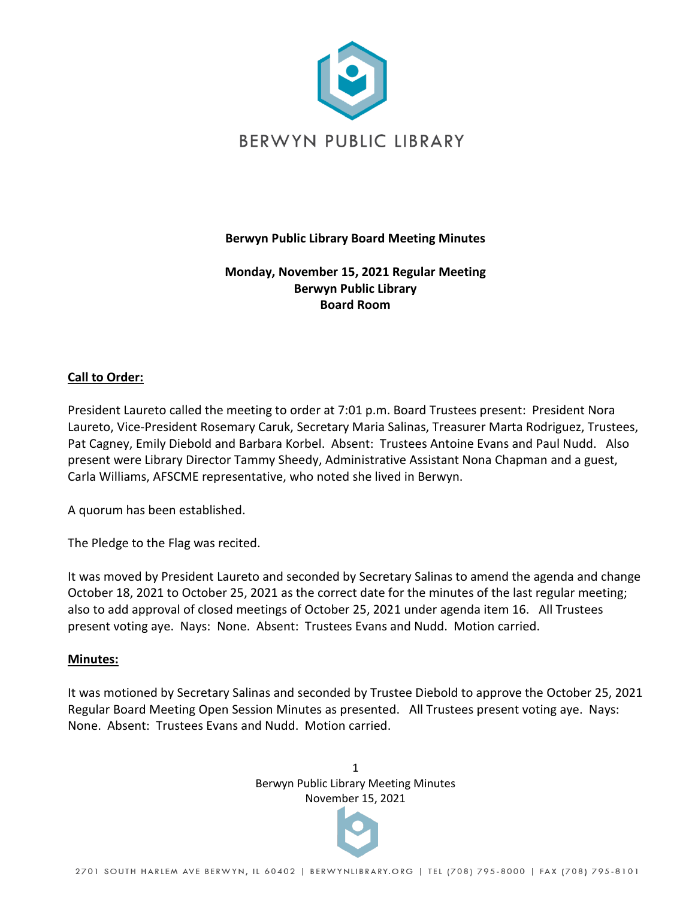

# **Berwyn Public Library Board Meeting Minutes**

# **Monday, November 15, 2021 Regular Meeting Berwyn Public Library Board Room**

# **Call to Order:**

President Laureto called the meeting to order at 7:01 p.m. Board Trustees present: President Nora Laureto, Vice-President Rosemary Caruk, Secretary Maria Salinas, Treasurer Marta Rodriguez, Trustees, Pat Cagney, Emily Diebold and Barbara Korbel. Absent: Trustees Antoine Evans and Paul Nudd. Also present were Library Director Tammy Sheedy, Administrative Assistant Nona Chapman and a guest, Carla Williams, AFSCME representative, who noted she lived in Berwyn.

A quorum has been established.

The Pledge to the Flag was recited.

It was moved by President Laureto and seconded by Secretary Salinas to amend the agenda and change October 18, 2021 to October 25, 2021 as the correct date for the minutes of the last regular meeting; also to add approval of closed meetings of October 25, 2021 under agenda item 16. All Trustees present voting aye. Nays: None. Absent: Trustees Evans and Nudd. Motion carried.

### **Minutes:**

It was motioned by Secretary Salinas and seconded by Trustee Diebold to approve the October 25, 2021 Regular Board Meeting Open Session Minutes as presented. All Trustees present voting aye. Nays: None. Absent: Trustees Evans and Nudd. Motion carried.

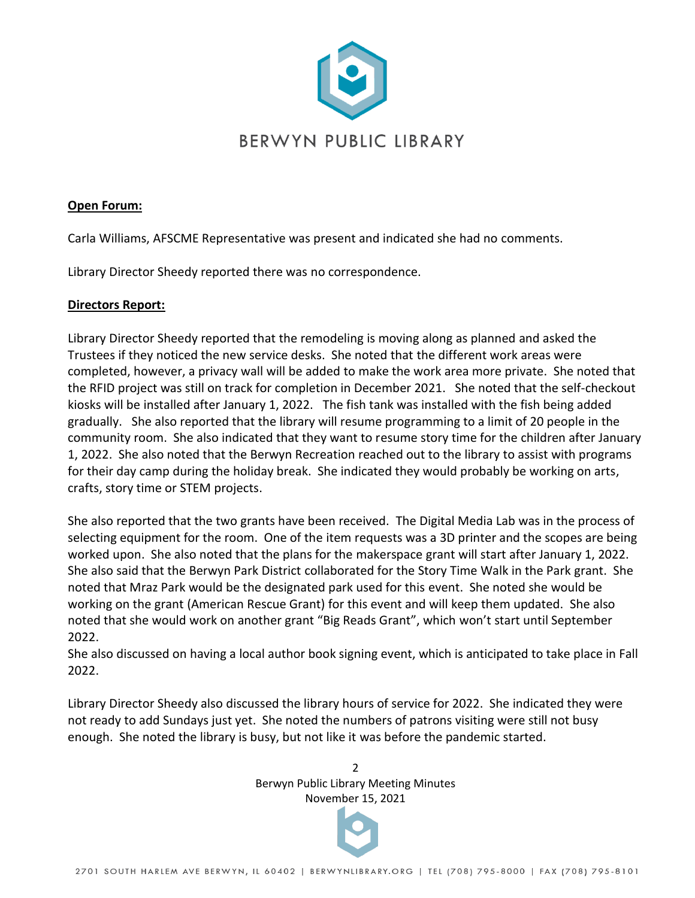

### **Open Forum:**

Carla Williams, AFSCME Representative was present and indicated she had no comments.

Library Director Sheedy reported there was no correspondence.

### **Directors Report:**

Library Director Sheedy reported that the remodeling is moving along as planned and asked the Trustees if they noticed the new service desks. She noted that the different work areas were completed, however, a privacy wall will be added to make the work area more private. She noted that the RFID project was still on track for completion in December 2021. She noted that the self-checkout kiosks will be installed after January 1, 2022. The fish tank was installed with the fish being added gradually. She also reported that the library will resume programming to a limit of 20 people in the community room. She also indicated that they want to resume story time for the children after January 1, 2022. She also noted that the Berwyn Recreation reached out to the library to assist with programs for their day camp during the holiday break. She indicated they would probably be working on arts, crafts, story time or STEM projects.

She also reported that the two grants have been received. The Digital Media Lab was in the process of selecting equipment for the room. One of the item requests was a 3D printer and the scopes are being worked upon. She also noted that the plans for the makerspace grant will start after January 1, 2022. She also said that the Berwyn Park District collaborated for the Story Time Walk in the Park grant. She noted that Mraz Park would be the designated park used for this event. She noted she would be working on the grant (American Rescue Grant) for this event and will keep them updated. She also noted that she would work on another grant "Big Reads Grant", which won't start until September 2022.

She also discussed on having a local author book signing event, which is anticipated to take place in Fall 2022.

Library Director Sheedy also discussed the library hours of service for 2022. She indicated they were not ready to add Sundays just yet. She noted the numbers of patrons visiting were still not busy enough. She noted the library is busy, but not like it was before the pandemic started.

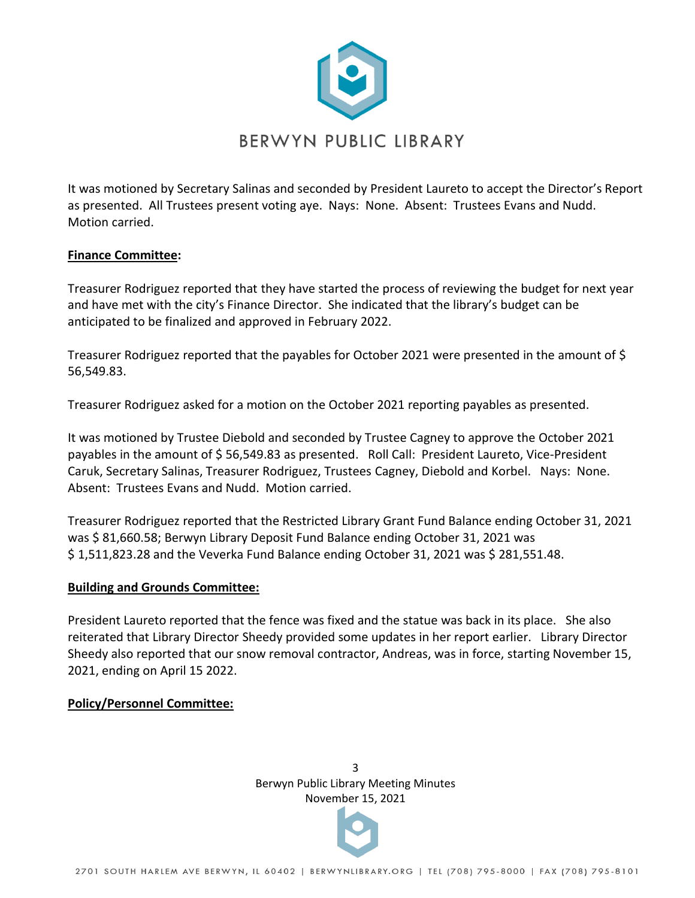

It was motioned by Secretary Salinas and seconded by President Laureto to accept the Director's Report as presented. All Trustees present voting aye. Nays: None. Absent: Trustees Evans and Nudd. Motion carried.

# **Finance Committee:**

Treasurer Rodriguez reported that they have started the process of reviewing the budget for next year and have met with the city's Finance Director. She indicated that the library's budget can be anticipated to be finalized and approved in February 2022.

Treasurer Rodriguez reported that the payables for October 2021 were presented in the amount of \$ 56,549.83.

Treasurer Rodriguez asked for a motion on the October 2021 reporting payables as presented.

It was motioned by Trustee Diebold and seconded by Trustee Cagney to approve the October 2021 payables in the amount of \$56,549.83 as presented. Roll Call: President Laureto, Vice-President Caruk, Secretary Salinas, Treasurer Rodriguez, Trustees Cagney, Diebold and Korbel. Nays: None. Absent: Trustees Evans and Nudd. Motion carried.

Treasurer Rodriguez reported that the Restricted Library Grant Fund Balance ending October 31, 2021 was \$ 81,660.58; Berwyn Library Deposit Fund Balance ending October 31, 2021 was \$1,511,823.28 and the Veverka Fund Balance ending October 31, 2021 was \$281,551.48.

### **Building and Grounds Committee:**

President Laureto reported that the fence was fixed and the statue was back in its place. She also reiterated that Library Director Sheedy provided some updates in her report earlier. Library Director Sheedy also reported that our snow removal contractor, Andreas, was in force, starting November 15, 2021, ending on April 15 2022.

### **Policy/Personnel Committee:**

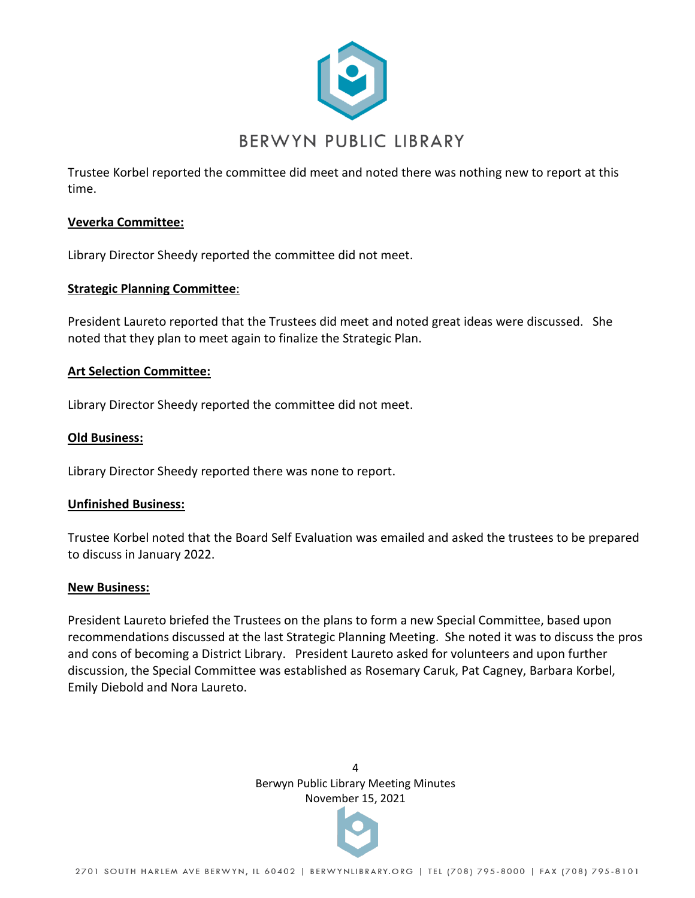

Trustee Korbel reported the committee did meet and noted there was nothing new to report at this time.

### **Veverka Committee:**

Library Director Sheedy reported the committee did not meet.

### **Strategic Planning Committee**:

President Laureto reported that the Trustees did meet and noted great ideas were discussed. She noted that they plan to meet again to finalize the Strategic Plan.

#### **Art Selection Committee:**

Library Director Sheedy reported the committee did not meet.

#### **Old Business:**

Library Director Sheedy reported there was none to report.

#### **Unfinished Business:**

Trustee Korbel noted that the Board Self Evaluation was emailed and asked the trustees to be prepared to discuss in January 2022.

#### **New Business:**

President Laureto briefed the Trustees on the plans to form a new Special Committee, based upon recommendations discussed at the last Strategic Planning Meeting. She noted it was to discuss the pros and cons of becoming a District Library. President Laureto asked for volunteers and upon further discussion, the Special Committee was established as Rosemary Caruk, Pat Cagney, Barbara Korbel, Emily Diebold and Nora Laureto.

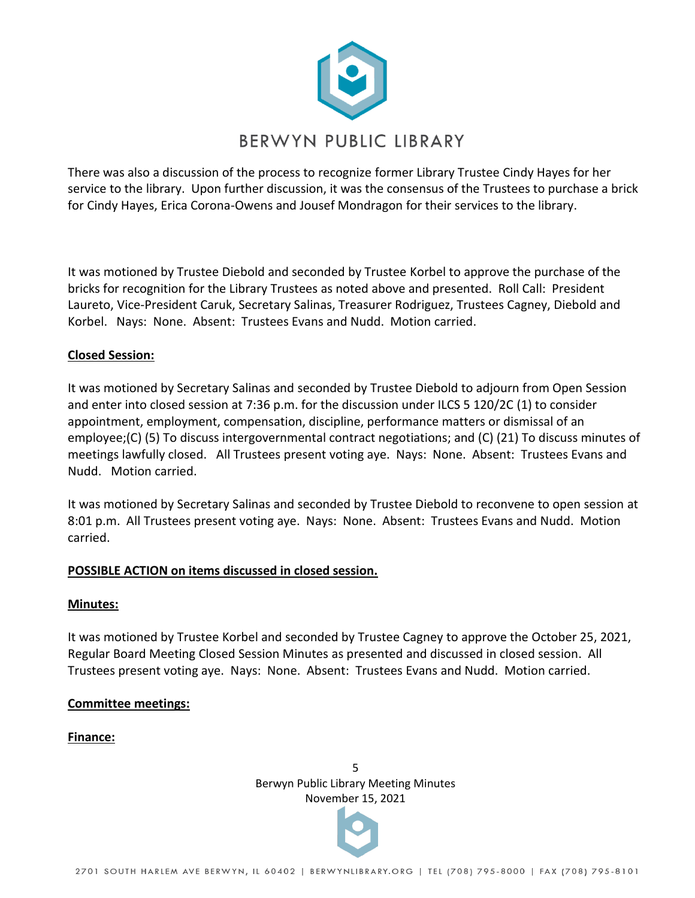

There was also a discussion of the process to recognize former Library Trustee Cindy Hayes for her service to the library. Upon further discussion, it was the consensus of the Trustees to purchase a brick for Cindy Hayes, Erica Corona-Owens and Jousef Mondragon for their services to the library.

It was motioned by Trustee Diebold and seconded by Trustee Korbel to approve the purchase of the bricks for recognition for the Library Trustees as noted above and presented. Roll Call: President Laureto, Vice-President Caruk, Secretary Salinas, Treasurer Rodriguez, Trustees Cagney, Diebold and Korbel. Nays: None. Absent: Trustees Evans and Nudd. Motion carried.

# **Closed Session:**

It was motioned by Secretary Salinas and seconded by Trustee Diebold to adjourn from Open Session and enter into closed session at 7:36 p.m. for the discussion under ILCS 5 120/2C (1) to consider appointment, employment, compensation, discipline, performance matters or dismissal of an employee;(C) (5) To discuss intergovernmental contract negotiations; and (C) (21) To discuss minutes of meetings lawfully closed. All Trustees present voting aye. Nays: None. Absent: Trustees Evans and Nudd. Motion carried.

It was motioned by Secretary Salinas and seconded by Trustee Diebold to reconvene to open session at 8:01 p.m. All Trustees present voting aye. Nays: None. Absent: Trustees Evans and Nudd. Motion carried.

### **POSSIBLE ACTION on items discussed in closed session.**

#### **Minutes:**

It was motioned by Trustee Korbel and seconded by Trustee Cagney to approve the October 25, 2021, Regular Board Meeting Closed Session Minutes as presented and discussed in closed session. All Trustees present voting aye. Nays: None. Absent: Trustees Evans and Nudd. Motion carried.

#### **Committee meetings:**

#### **Finance:**

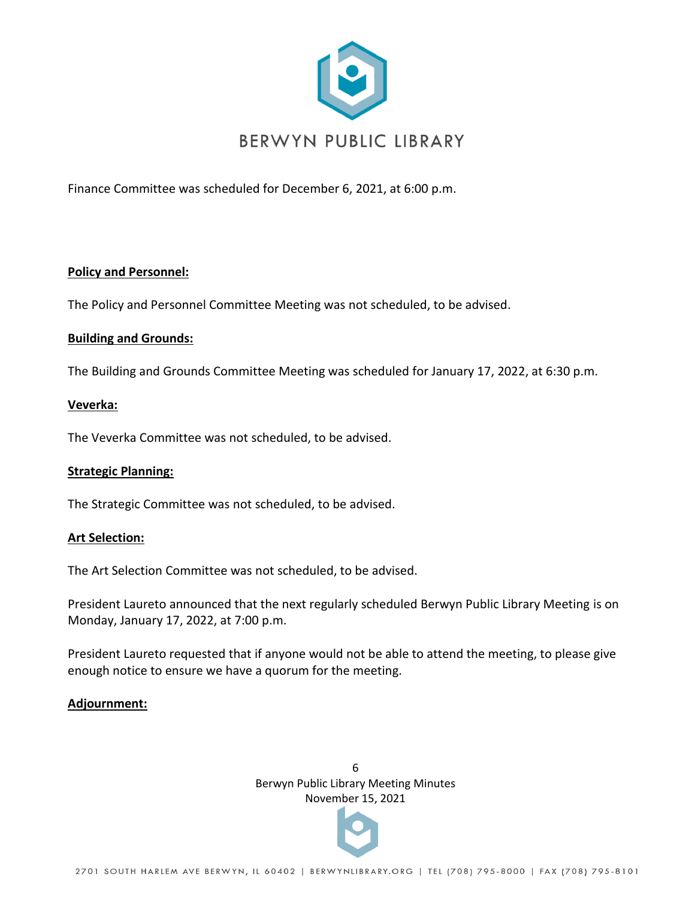

Finance Committee was scheduled for December 6, 2021, at 6:00 p.m.

### **Policy and Personnel:**

The Policy and Personnel Committee Meeting was not scheduled, to be advised.

### **Building and Grounds:**

The Building and Grounds Committee Meeting was scheduled for January 17, 2022, at 6:30 p.m.

### **Veverka:**

The Veverka Committee was not scheduled, to be advised.

### **Strategic Planning:**

The Strategic Committee was not scheduled, to be advised.

### **Art Selection:**

The Art Selection Committee was not scheduled, to be advised.

President Laureto announced that the next regularly scheduled Berwyn Public Library Meeting is on Monday, January 17, 2022, at 7:00 p.m.

President Laureto requested that if anyone would not be able to attend the meeting, to please give enough notice to ensure we have a quorum for the meeting.

### **Adjournment:**